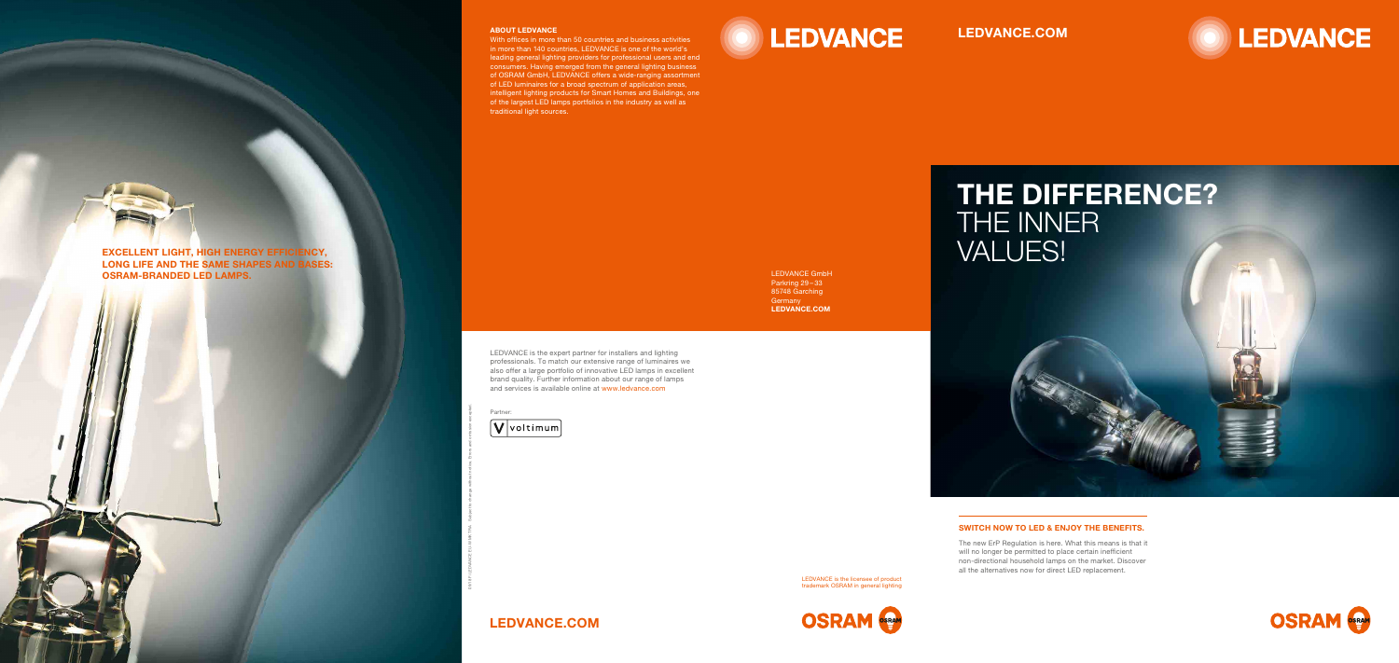# LEDVANCE.COM



LEDVANCE.COM





The new ErP Regulation is here. What this means is that it will no longer be permitted to place certain inefficient non-directional household lamps on the market. Discover all the alternatives now for direct LED replacement.

# SWITCH NOW TO LED & ENJOY THE BENEFITS.



LONG LIFE AND THE SAME SHAPES AND BASES: OSRAM-BRANDED LED LAMPS.

09/18 Fi LEDVANCE EU-W MK TRA Subject to change without notice. Errors and omission excepted.



Partner:

## ABOUT LEDVANCE

With offices in more than 50 countries and business activities in more than 140 countries, LEDVANCE is one of the world's leading general lighting providers for professional users and end consumers. Having emerged from the general lighting business of OSRAM GmbH, LEDVANCE offers a wide-ranging assortment of LED luminaires for a broad spectrum of application areas, intelligent lighting products for Smart Homes and Buildings, one of the largest LED lamps portfolios in the industry as well as traditional light sources.

LEDVANCE is the expert partner for installers and lighting professionals. To match our extensive range of luminaires we also offer a large portfolio of innovative LED lamps in excellent brand quality. Further information about our range of lamps and services is available online at www.ledvance.com

LEDVANCE GmbH Parkring 29-33 85748 Garching **Germany** LEDVANCE.COM

> LEDVANCE is the licensee of product trademark OSRAM in general lighting